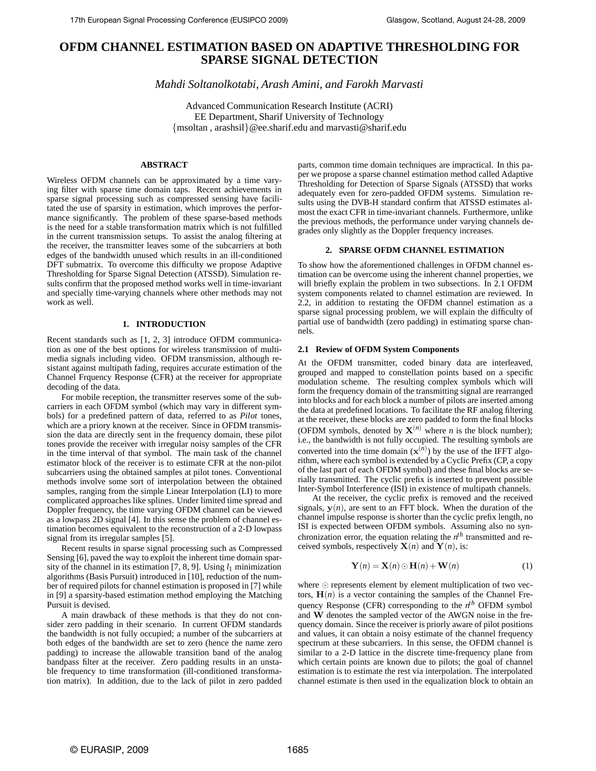# **OFDM CHANNEL ESTIMATION BASED ON ADAPTIVE THRESHOLDING FOR SPARSE SIGNAL DETECTION**

*Mahdi Soltanolkotabi, Arash Amini, and Farokh Marvasti*

Advanced Communication Research Institute (ACRI) EE Department, Sharif University of Technology {msoltan , arashsil}@ee.sharif.edu and marvasti@sharif.edu

## **ABSTRACT**

Wireless OFDM channels can be approximated by a time varying filter with sparse time domain taps. Recent achievements in sparse signal processing such as compressed sensing have facilitated the use of sparsity in estimation, which improves the performance significantly. The problem of these sparse-based methods is the need for a stable transformation matrix which is not fulfilled in the current transmission setups. To assist the analog filtering at the receiver, the transmitter leaves some of the subcarriers at both edges of the bandwidth unused which results in an ill-conditioned DFT submatrix. To overcome this difficulty we propose Adaptive Thresholding for Sparse Signal Detection (ATSSD). Simulation results confirm that the proposed method works well in time-invariant and specially time-varying channels where other methods may not work as well.

## **1. INTRODUCTION**

Recent standards such as [1, 2, 3] introduce OFDM communication as one of the best options for wireless transmission of multimedia signals including video. OFDM transmission, although resistant against multipath fading, requires accurate estimation of the Channel Frquency Response (CFR) at the receiver for appropriate decoding of the data.

For mobile reception, the transmitter reserves some of the subcarriers in each OFDM symbol (which may vary in different symbols) for a predefined pattern of data, referred to as *Pilot* tones, which are a priory known at the receiver. Since in OFDM transmission the data are directly sent in the frequency domain, these pilot tones provide the receiver with irregular noisy samples of the CFR in the time interval of that symbol. The main task of the channel estimator block of the receiver is to estimate CFR at the non-pilot subcarriers using the obtained samples at pilot tones. Conventional methods involve some sort of interpolation between the obtained samples, ranging from the simple Linear Interpolation (LI) to more complicated approaches like splines. Under limited time spread and Doppler frequency, the time varying OFDM channel can be viewed as a lowpass 2D signal [4]. In this sense the problem of channel estimation becomes equivalent to the reconstruction of a 2-D lowpass signal from its irregular samples [5].

Recent results in sparse signal processing such as Compressed Sensing [6], paved the way to exploit the inherent time domain sparsity of the channel in its estimation  $[7, 8, 9]$ . Using  $l_1$  minimization algorithms (Basis Pursuit) introduced in [10], reduction of the number of required pilots for channel estimation is proposed in [7] while in [9] a sparsity-based estimation method employing the Matching Pursuit is devised.

A main drawback of these methods is that they do not consider zero padding in their scenario. In current OFDM standards the bandwidth is not fully occupied; a number of the subcarriers at both edges of the bandwidth are set to zero (hence the name zero padding) to increase the allowable transition band of the analog bandpass filter at the receiver. Zero padding results in an unstable frequency to time transformation (ill-conditioned transformation matrix). In addition, due to the lack of pilot in zero padded

parts, common time domain techniques are impractical. In this paper we propose a sparse channel estimation method called Adaptive Thresholding for Detection of Sparse Signals (ATSSD) that works adequately even for zero-padded OFDM systems. Simulation results using the DVB-H standard confirm that ATSSD estimates almost the exact CFR in time-invariant channels. Furthermore, unlike the previous methods, the performance under varying channels degrades only slightly as the Doppler frequency increases.

## **2. SPARSE OFDM CHANNEL ESTIMATION**

To show how the aforementioned challenges in OFDM channel estimation can be overcome using the inherent channel properties, we will briefly explain the problem in two subsections. In 2.1 OFDM system components related to channel estimation are reviewed. In 2.2, in addition to restating the OFDM channel estimation as a sparse signal processing problem, we will explain the difficulty of partial use of bandwidth (zero padding) in estimating sparse channels.

## **2.1 Review of OFDM System Components**

At the OFDM transmitter, coded binary data are interleaved, grouped and mapped to constellation points based on a specific modulation scheme. The resulting complex symbols which will form the frequency domain of the transmitting signal are rearranged into blocks and for each block a number of pilots are inserted among the data at predefined locations. To facilitate the RF analog filtering at the receiver, these blocks are zero padded to form the final blocks (OFDM symbols, denoted by  $X^{(n)}$  where *n* is the block number); i.e., the bandwidth is not fully occupied. The resulting symbols are converted into the time domain  $(\mathbf{x}^{(n)})$  by the use of the IFFT algorithm, where each symbol is extended by a Cyclic Prefix (CP, a copy of the last part of each OFDM symbol) and these final blocks are serially transmitted. The cyclic prefix is inserted to prevent possible Inter-Symbol Interference (ISI) in existence of multipath channels.

At the receiver, the cyclic prefix is removed and the received signals,  $y(n)$ , are sent to an FFT block. When the duration of the channel impulse response is shorter than the cyclic prefix length, no ISI is expected between OFDM symbols. Assuming also no synchronization error, the equation relating the  $n<sup>th</sup>$  transmitted and received symbols, respectively  $\mathbf{X}(n)$  and  $\mathbf{Y}(n)$ , is:

$$
\mathbf{Y}(n) = \mathbf{X}(n) \odot \mathbf{H}(n) + \mathbf{W}(n)
$$
 (1)

where  $\odot$  represents element by element multiplication of two vectors,  $\mathbf{H}(n)$  is a vector containing the samples of the Channel Frequency Response (CFR) corresponding to the  $n<sup>th</sup>$  OFDM symbol and **W** denotes the sampled vector of the AWGN noise in the frequency domain. Since the receiver is priorly aware of pilot positions and values, it can obtain a noisy estimate of the channel frequency spectrum at these subcarriers. In this sense, the OFDM channel is similar to a 2-D lattice in the discrete time-frequency plane from which certain points are known due to pilots; the goal of channel estimation is to estimate the rest via interpolation. The interpolated channel estimate is then used in the equalization block to obtain an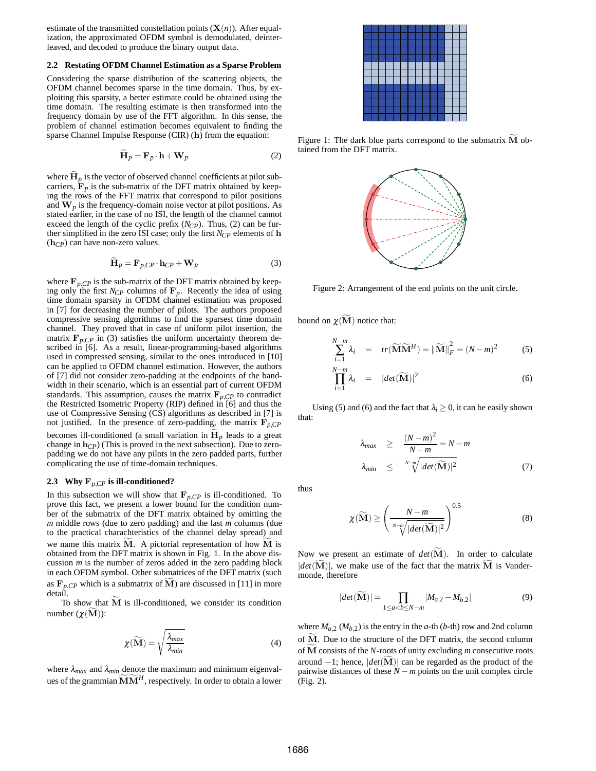estimate of the transmitted constellation points  $(X(n))$ . After equalization, the approximated OFDM symbol is demodulated, deinterleaved, and decoded to produce the binary output data.

## **2.2 Restating OFDM Channel Estimation as a Sparse Problem**

Considering the sparse distribution of the scattering objects, the OFDM channel becomes sparse in the time domain. Thus, by exploiting this sparsity, a better estimate could be obtained using the time domain. The resulting estimate is then transformed into the frequency domain by use of the FFT algorithm. In this sense, the problem of channel estimation becomes equivalent to finding the sparse Channel Impulse Response (CIR) (**h**) from the equation:

$$
\widetilde{\mathbf{H}}_p = \mathbf{F}_p \cdot \mathbf{h} + \mathbf{W}_p \tag{2}
$$

where  $\mathbf{H}_p$  is the vector of observed channel coefficients at pilot subcarriers,  $\mathbf{F}_p$  is the sub-matrix of the DFT matrix obtained by keeping the rows of the FFT matrix that correspond to pilot positions and  $W_p$  is the frequency-domain noise vector at pilot positions. As stated earlier, in the case of no ISI, the length of the channel cannot exceed the length of the cyclic prefix (*N<sub>CP</sub>*). Thus, (2) can be further simplified in the zero ISI case; only the first  $N_{CP}$  elements of **h** (**h***CP*) can have non-zero values.

$$
\widetilde{\mathbf{H}}_{p} = \mathbf{F}_{p,CP} \cdot \mathbf{h}_{CP} + \mathbf{W}_{p}
$$
 (3)

where  $\mathbf{F}_{p,C}$  is the sub-matrix of the DFT matrix obtained by keeping only the first  $N_{CP}$  columns of  $\mathbf{F}_p$ . Recently the idea of using time domain sparsity in OFDM channel estimation was proposed in [7] for decreasing the number of pilots. The authors proposed compressive sensing algorithms to find the sparsest time domain channel. They proved that in case of uniform pilot insertion, the matrix  $\mathbf{F}_{p,C}$  in (3) satisfies the uniform uncertainty theorem described in [6]. As a result, linear-programming-based algorithms used in compressed sensing, similar to the ones introduced in [10] can be applied to OFDM channel estimation. However, the authors of [7] did not consider zero-padding at the endpoints of the bandwidth in their scenario, which is an essential part of current OFDM standards. This assumption, causes the matrix  $\mathbf{F}_{p,CP}$  to contradict the Restricted Isometric Property (RIP) defined in [6] and thus the use of Compressive Sensing (CS) algorithms as described in [7] is not justified. In the presence of zero-padding, the matrix  $\mathbf{F}_{p,CP}$ becomes ill-conditioned (a small variation in  $\mathbf{H}_p$  leads to a great change in **h***CP*) (This is proved in the next subsection). Due to zeropadding we do not have any pilots in the zero padded parts, further complicating the use of time-domain techniques.

## **2.3 Why F***p,CP* **is ill-conditioned?**

In this subsection we will show that  $\mathbf{F}_{p,CP}$  is ill-conditioned. To prove this fact, we present a lower bound for the condition number of the submatrix of the DFT matrix obtained by omitting the *m* middle rows (due to zero padding) and the last *m* columns (due to the practical charachteristics of the channel delay spread) and we name this matrix **M**. A pictorial representation of how **M** is obtained from the DFT matrix is shown in Fig. 1. In the above discussion *m* is the number of zeros added in the zero padding block in each OFDM symbol. Other submatrices of the DFT matrix (such as  $\mathbf{F}_{p,CP}$  which is a submatrix of **M**) are discussed in [11] in more detail.

To show that **M** is ill-conditioned, we consider its condition number  $(\chi(M))$ :

$$
\chi(\widetilde{\mathbf{M}}) = \sqrt{\frac{\lambda_{max}}{\lambda_{min}}} \tag{4}
$$

where  $\lambda_{max}$  and  $\lambda_{min}$  denote the maximum and minimum eigenvalues of the grammian  $\widetilde{M}\widetilde{M}^H$ , respectively. In order to obtain a lower

Figure 1: The dark blue parts correspond to the submatrix **M** obtained from the DFT matrix.



Figure 2: Arrangement of the end points on the unit circle.

bound on  $χ$ (**M**) notice that:

$$
\sum_{i=1}^{N-m} \lambda_i = tr(\widetilde{\mathbf{M}} \widetilde{\mathbf{M}}^H) = ||\widetilde{\mathbf{M}}||_F^2 = (N-m)^2
$$
 (5)

$$
\prod_{i=1}^{N-m} \lambda_i = |det(\widetilde{\mathbf{M}})|^2
$$
\n(6)

Using (5) and (6) and the fact that  $\lambda_i \geq 0$ , it can be easily shown that:

$$
\lambda_{max} \geq \frac{(N-m)^2}{N-m} = N-m
$$
  

$$
\lambda_{min} \leq \sqrt[N-m]{|det(\widetilde{\mathbf{M}})|^2}
$$
 (7)

thus

$$
\chi(\widetilde{\mathbf{M}}) \ge \left(\frac{N-m}{\sqrt[N-m]{|det(\widetilde{\mathbf{M}})|^2}}\right)^{0.5}
$$
\n(8)

Now we present an estimate of *det*(**M**). In order to calculate  $|det(M)|$ , we make use of the fact that the matrix M is Vandermonde, therefore

$$
|det(\widetilde{\mathbf{M}})| = \prod_{1 \le a < b \le N-m} |M_{a,2} - M_{b,2}| \tag{9}
$$

where  $M_{a,2}$  ( $M_{b,2}$ ) is the entry in the *a*-th (*b*-th) row and 2nd column of **M**. Due to the structure of the DFT matrix, the second column of **M** consists of the *N*-roots of unity excluding *m* consecutive roots around −1; hence, |*det*(**M**)| can be regarded as the product of the pairwise distances of these *N* −*m* points on the unit complex circle (Fig. 2).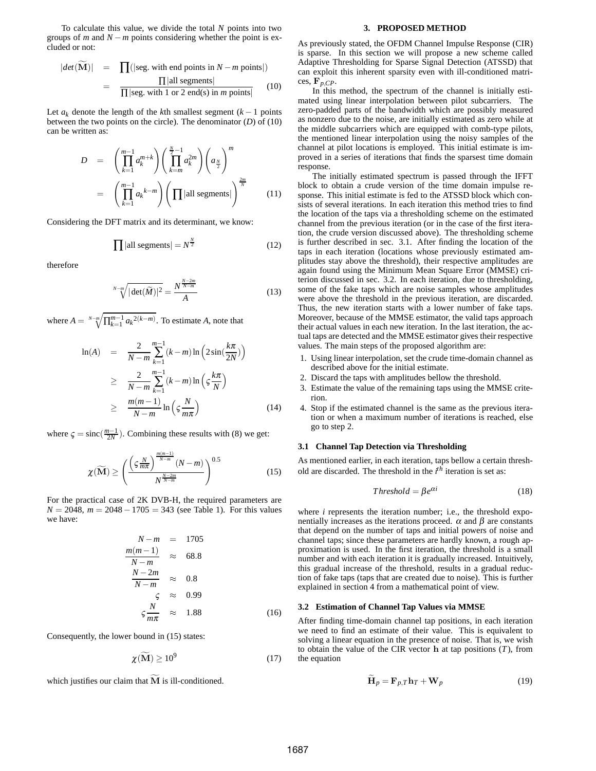To calculate this value, we divide the total *N* points into two groups of *m* and *N* −*m* points considering whether the point is excluded or not:

$$
|det(\mathbf{M})| = \prod(|\text{seg. with end points in } N - m \text{ points}|)
$$
  
= 
$$
\frac{\prod|\text{all segments}|}{\prod|\text{seg. with 1 or 2 end(s) in } m \text{ points}|}
$$
 (10)

Let  $a_k$  denote the length of the *k*th smallest segment  $(k - 1)$  points between the two points on the circle). The denominator (*D*) of (10) can be written as:

$$
D = \left(\prod_{k=1}^{m-1} a_k^{m+k}\right) \left(\prod_{k=m}^{\frac{N}{2}-1} a_k^{2m}\right) \left(a_{\frac{N}{2}}\right)^m
$$
  

$$
= \left(\prod_{k=1}^{m-1} a_k^{k-m}\right) \left(\prod |\text{all segments}|\right)^{\frac{2m}{N}} \qquad (11)
$$

Considering the DFT matrix and its determinant, we know:

$$
\prod |all segments| = N^{\frac{N}{2}} \tag{12}
$$

therefore

$$
\sqrt[N-m]{|\det(\widetilde{M})|^2} = \frac{N^{\frac{N-2m}{N-m}}}{A} \tag{13}
$$

where  $A = \sqrt[N-m]{\prod_{k=1}^{m-1} a_k^{2(k-m)}}$ . To estimate *A*, note that

$$
\ln(A) = \frac{2}{N-m} \sum_{k=1}^{m-1} (k-m) \ln\left(2\sin(\frac{k\pi}{2N})\right)
$$
  
\n
$$
\geq \frac{2}{N-m} \sum_{k=1}^{m-1} (k-m) \ln\left(\varsigma \frac{k\pi}{N}\right)
$$
  
\n
$$
\geq \frac{m(m-1)}{N-m} \ln\left(\varsigma \frac{N}{m\pi}\right)
$$
(14)

where  $\zeta = \text{sinc}(\frac{m-1}{2N})$ . Combining these results with (8) we get:

$$
\chi(\widetilde{\mathbf{M}}) \ge \left(\frac{\left(\varsigma \frac{N}{m\pi}\right)^{\frac{m(m-1)}{N-m}} (N-m)}{N^{\frac{N-2m}{N-m}}}\right)^{0.5}
$$
(15)

For the practical case of 2K DVB-H, the required parameters are *N* = 2048, *m* = 2048 − 1705 = 343 (see Table 1). For this values we have:

$$
N-m = 1705
$$
  
\n
$$
\frac{m(m-1)}{N-m} \approx 68.8
$$
  
\n
$$
\frac{N-2m}{N-m} \approx 0.8
$$
  
\n
$$
\varsigma \approx 0.99
$$
  
\n
$$
\varsigma \frac{N}{m\pi} \approx 1.88
$$
 (16)

Consequently, the lower bound in (15) states:

$$
\chi(\widetilde{\mathbf{M}}) \ge 10^9 \tag{17}
$$

which justifies our claim that  $\widetilde{M}$  is ill-conditioned.

#### **3. PROPOSED METHOD**

As previously stated, the OFDM Channel Impulse Response (CIR) is sparse. In this section we will propose a new scheme called Adaptive Thresholding for Sparse Signal Detection (ATSSD) that can exploit this inherent sparsity even with ill-conditioned matrices,  $\mathbf{F}_{p,CP}$ .

In this method, the spectrum of the channel is initially estimated using linear interpolation between pilot subcarriers. The zero-padded parts of the bandwidth which are possibly measured as nonzero due to the noise, are initially estimated as zero while at the middle subcarriers which are equipped with comb-type pilots, the mentioned linear interpolation using the noisy samples of the channel at pilot locations is employed. This initial estimate is improved in a series of iterations that finds the sparsest time domain response.

The initially estimated spectrum is passed through the IFFT block to obtain a crude version of the time domain impulse response. This initial estimate is fed to the ATSSD block which consists of several iterations. In each iteration this method tries to find the location of the taps via a thresholding scheme on the estimated channel from the previous iteration (or in the case of the first iteration, the crude version discussed above). The thresholding scheme is further described in sec. 3.1. After finding the location of the taps in each iteration (locations whose previously estimated amplitudes stay above the threshold), their respective amplitudes are again found using the Minimum Mean Square Error (MMSE) criterion discussed in sec. 3.2. In each iteration, due to thresholding, some of the fake taps which are noise samples whose amplitudes were above the threshold in the previous iteration, are discarded. Thus, the new iteration starts with a lower number of fake taps. Moreover, because of the MMSE estimator, the valid taps approach their actual values in each new iteration. In the last iteration, the actual taps are detected and the MMSE estimator gives their respective values. The main steps of the proposed algorithm are:

- 1. Using linear interpolation, set the crude time-domain channel as described above for the initial estimate.
- 2. Discard the taps with amplitudes bellow the threshold.
- 3. Estimate the value of the remaining taps using the MMSE criterion.
- 4. Stop if the estimated channel is the same as the previous iteration or when a maximum number of iterations is reached, else go to step 2.

## **3.1 Channel Tap Detection via Thresholding**

As mentioned earlier, in each iteration, taps bellow a certain threshold are discarded. The threshold in the *i th* iteration is set as:

$$
Threshold = \beta e^{\alpha i} \tag{18}
$$

where *i* represents the iteration number; i.e., the threshold exponentially increases as the iterations proceed.  $\alpha$  and  $\beta$  are constants that depend on the number of taps and initial powers of noise and channel taps; since these parameters are hardly known, a rough approximation is used. In the first iteration, the threshold is a small number and with each iteration it is gradually increased. Intuitively, this gradual increase of the threshold, results in a gradual reduction of fake taps (taps that are created due to noise). This is further explained in section 4 from a mathematical point of view.

## **3.2 Estimation of Channel Tap Values via MMSE**

After finding time-domain channel tap positions, in each iteration we need to find an estimate of their value. This is equivalent to solving a linear equation in the presence of noise. That is, we wish to obtain the value of the CIR vector **h** at tap positions (*T*), from the equation

$$
\widetilde{\mathbf{H}}_p = \mathbf{F}_{p,T} \mathbf{h}_T + \mathbf{W}_p \tag{19}
$$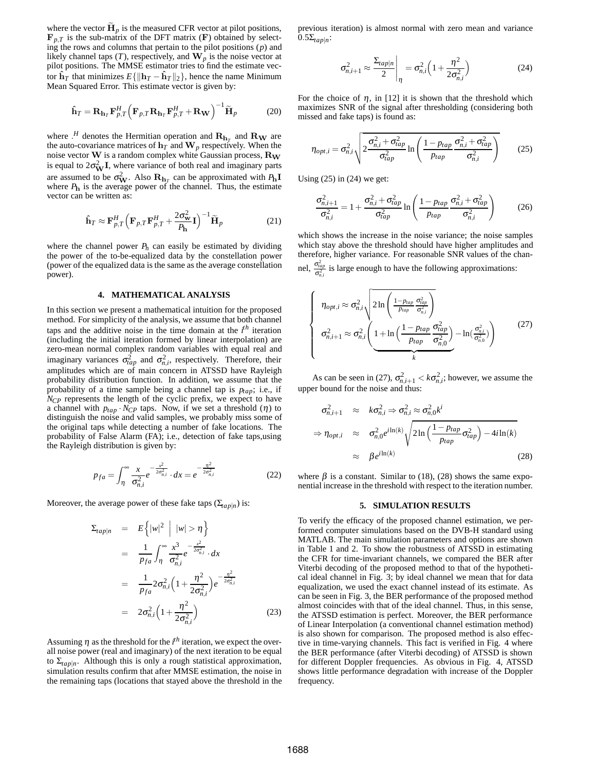where the vector  $\mathbf{H}_p$  is the measured CFR vector at pilot positions,  $\mathbf{F}_{p,T}$  is the sub-matrix of the DFT matrix (**F**) obtained by selecting the rows and columns that pertain to the pilot positions (*p*) and likely channel taps  $(T)$ , respectively, and  $\mathbf{W}_p$  is the noise vector at pilot positions. The MMSE estimator tries to find the estimate vector  $\hat{\mathbf{h}}_T$  that minimizes  $E\{\|\mathbf{h}_T - \hat{\mathbf{h}}_T\|_2\}$ , hence the name Minimum Mean Squared Error. This estimate vector is given by:

$$
\hat{\mathbf{h}}_T = \mathbf{R}_{\mathbf{h}_T} \mathbf{F}_{p,T}^H \left( \mathbf{F}_{p,T} \mathbf{R}_{\mathbf{h}_T} \mathbf{F}_{p,T}^H + \mathbf{R}_{\mathbf{W}} \right)^{-1} \widetilde{\mathbf{H}}_p \tag{20}
$$

where  $\cdot$ <sup>*H*</sup> denotes the Hermitian operation and  $\mathbf{R}_{\mathbf{h}_T}$  and  $\mathbf{R}_{\mathbf{W}}$  are the auto-covariance matrices of  $\mathbf{h}_T$  and  $\mathbf{W}_p$  respectively. When the noise vector **W** is a random complex white Gaussian process, **R<sup>W</sup>** is equal to  $2\sigma_{\mathbf{W}}^2 \mathbf{I}$ , where variance of both real and imaginary parts are assumed to be  $\sigma_{\mathbf{W}}^2$ . Also  $\mathbf{R}_{\mathbf{h}_T}$  can be approximated with  $P_{\mathbf{h}}\mathbf{I}$ where *P***<sup>h</sup>** is the average power of the channel. Thus, the estimate vector can be written as:

$$
\hat{\mathbf{h}}_T \approx \mathbf{F}_{p,T}^H \left( \mathbf{F}_{p,T} \mathbf{F}_{p,T}^H + \frac{2\sigma_{\mathbf{w}}^2}{P_{\mathbf{h}}} \mathbf{I} \right)^{-1} \widetilde{\mathbf{H}}_p \tag{21}
$$

where the channel power  $P_h$  can easily be estimated by dividing the power of the to-be-equalized data by the constellation power (power of the equalized data is the same as the average constellation power).

### **4. MATHEMATICAL ANALYSIS**

In this section we present a mathematical intuition for the proposed method. For simplicity of the analysis, we assume that both channel taps and the additive noise in the time domain at the *i th* iteration (including the initial iteration formed by linear interpolation) are zero-mean normal complex random variables with equal real and imaginary variances  $\sigma_{tap}^2$  and  $\sigma_{n,i}^2$ , respectively. Therefore, their amplitudes which are of main concern in ATSSD have Rayleigh probability distribution function. In addition, we assume that the probability of a time sample being a channel tap is  $p_{tap}$ ; i.e., if *N<sub>CP</sub>* represents the length of the cyclic prefix, we expect to have a channel with  $p_{tap} \cdot N_{CP}$  taps. Now, if we set a threshold ( $\eta$ ) to distinguish the noise and valid samples, we probably miss some of the original taps while detecting a number of fake locations. The probability of False Alarm (FA); i.e., detection of fake taps,using the Rayleigh distribution is given by:

$$
p_{fa} = \int_{\eta}^{\infty} \frac{x}{\sigma_{n,i}^2} e^{-\frac{x^2}{2\sigma_{n,i}^2}} \cdot dx = e^{-\frac{\eta^2}{2\sigma_{n,i}^2}}
$$
(22)

Moreover, the average power of these fake taps  $(\Sigma_{tan|n})$  is:

$$
\Sigma_{tap|n} = E\{|w|^2 | |w| > \eta\}
$$
\n
$$
= \frac{1}{p_{fa}} \int_{\eta}^{\infty} \frac{x^3}{\sigma_{n,i}^2} e^{-\frac{x^2}{2\sigma_{n,i}^2}} \cdot dx
$$
\n
$$
= \frac{1}{p_{fa}} 2\sigma_{n,i}^2 \left(1 + \frac{\eta^2}{2\sigma_{n,i}^2}\right) e^{-\frac{\eta^2}{2\sigma_{n,i}^2}}
$$
\n
$$
= 2\sigma_{n,i}^2 \left(1 + \frac{\eta^2}{2\sigma_{n,i}^2}\right) \tag{23}
$$

Assuming  $\eta$  as the threshold for the  $i^{th}$  iteration, we expect the overall noise power (real and imaginary) of the next iteration to be equal to  $\Sigma_{tap|n}$ . Although this is only a rough statistical approximation, simulation results confirm that after MMSE estimation, the noise in the remaining taps (locations that stayed above the threshold in the

previous iteration) is almost normal with zero mean and variance  $0.5\Sigma_{tan|n}$ :

$$
\sigma_{n,i+1}^2 \approx \frac{\Sigma_{tap|n}}{2} \bigg|_{\eta} = \sigma_{n,i}^2 \left( 1 + \frac{\eta^2}{2\sigma_{n,i}^2} \right) \tag{24}
$$

For the choice of  $\eta$ , in [12] it is shown that the threshold which maximizes SNR of the signal after thresholding (considering both missed and fake taps) is found as:

$$
\eta_{opt,i} = \sigma_{n,i}^2 \sqrt{2 \frac{\sigma_{n,i}^2 + \sigma_{tap}^2}{\sigma_{tap}^2} \ln \left( \frac{1 - p_{tap}}{p_{tap}} \frac{\sigma_{n,i}^2 + \sigma_{tap}^2}{\sigma_{n,i}^2} \right)}
$$
(25)

Using  $(25)$  in  $(24)$  we get:

 $n_{\ell}$ 

$$
\frac{\sigma_{n,i+1}^2}{\sigma_{n,i}^2} = 1 + \frac{\sigma_{n,i}^2 + \sigma_{tap}^2}{\sigma_{tap}^2} \ln\left(\frac{1 - p_{tap}}{p_{tap}} \frac{\sigma_{n,i}^2 + \sigma_{tap}^2}{\sigma_{n,i}^2}\right) \tag{26}
$$

which shows the increase in the noise variance; the noise samples which stay above the threshold should have higher amplitudes and therefore, higher variance. For reasonable SNR values of the chan-

el, 
$$
\frac{O_{tap}}{G_{nj}^2}
$$
 is large enough to have the following approximations:

$$
\begin{cases}\n\eta_{opt,i} \approx \sigma_{n,i}^2 \sqrt{2\ln\left(\frac{1-p_{tap}}{p_{tap}}\frac{\sigma_{tap}^2}{\sigma_{n,i}^2}\right)} \\
\sigma_{n,i+1}^2 \approx \sigma_{n,i}^2 \left(\frac{1+\ln\left(\frac{1-p_{tap}}{p_{tap}}\frac{\sigma_{tap}^2}{\sigma_{n,0}^2}\right)-\ln(\frac{\sigma_{n,i}^2}{\sigma_{n,0}^2})}{k}\right)\n\end{cases} (27)
$$

As can be seen in (27),  $\sigma_{n,i+1}^2 < k\sigma_{n,i}^2$ ; however, we assume the upper bound for the noise and thus:

$$
\sigma_{n,i+1}^2 \approx k \sigma_{n,i}^2 \Rightarrow \sigma_{n,i}^2 \approx \sigma_{n,0}^2 k^i
$$
  
\n
$$
\Rightarrow \eta_{opt,i} \approx \sigma_{n,0}^2 e^{i \ln(k)} \sqrt{2 \ln\left(\frac{1 - p_{tap}}{p_{tap}} \sigma_{tap}^2\right) - 4i \ln(k)}
$$
  
\n
$$
\approx \beta e^{i \ln(k)}
$$
\n(28)

where  $\beta$  is a constant. Similar to (18), (28) shows the same exponential increase in the threshold with respect to the iteration number.

#### **5. SIMULATION RESULTS**

To verify the efficacy of the proposed channel estimation, we performed computer simulations based on the DVB-H standard using MATLAB. The main simulation parameters and options are shown in Table 1 and 2. To show the robustness of ATSSD in estimating the CFR for time-invariant channels, we compared the BER after Viterbi decoding of the proposed method to that of the hypothetical ideal channel in Fig. 3; by ideal channel we mean that for data equalization, we used the exact channel instead of its estimate. As can be seen in Fig. 3, the BER performance of the proposed method almost coincides with that of the ideal channel. Thus, in this sense, the ATSSD estimation is perfect. Moreover, the BER performance of Linear Interpolation (a conventional channel estimation method) is also shown for comparison. The proposed method is also effective in time-varying channels. This fact is verified in Fig. 4 where the BER performance (after Viterbi decoding) of ATSSD is shown for different Doppler frequencies. As obvious in Fig. 4, ATSSD shows little performance degradation with increase of the Doppler frequency.